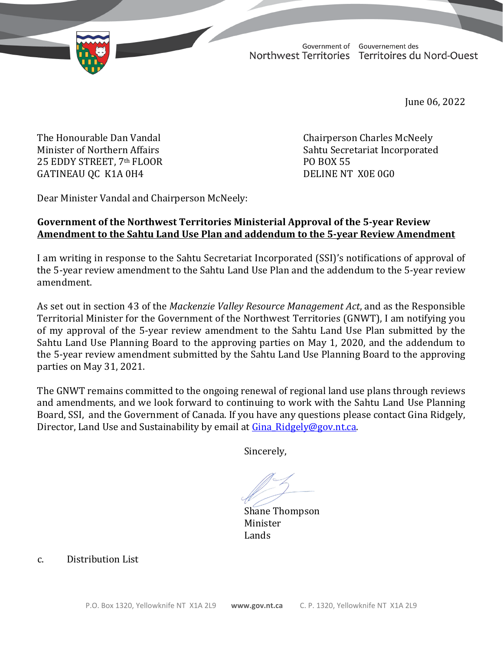Government of Gouvernement des Northwest Territories Territoires du Nord-Ouest

June 06, 2022

25 EDDY STREET, 7th FLOOR PO BOX 55 GATINEAU QC K1A 0H4

The Honourable Dan Vandal Chairperson Charles McNeely Sahtu Secretariat Incorporated<br>PO BOX 55

Dear Minister Vandal and Chairperson McNeely:

## **Government of the Northwest Territories Ministerial Approval of the 5-year Review Amendment to the Sahtu Land Use Plan and addendum to the 5-year Review Amendment**

I am writing in response to the Sahtu Secretariat Incorporated (SSI)'s notifications of approval of the 5-year review amendment to the Sahtu Land Use Plan and the addendum to the 5-year review amendment.

As set out in section 43 of the *Mackenzie Valley Resource Management Act*, and as the Responsible Territorial Minister for the Government of the Northwest Territories (GNWT), I am notifying you of my approval of the 5-year review amendment to the Sahtu Land Use Plan submitted by the Sahtu Land Use Planning Board to the approving parties on May 1, 2020, and the addendum to the 5-year review amendment submitted by the Sahtu Land Use Planning Board to the approving parties on May 31, 2021.

The GNWT remains committed to the ongoing renewal of regional land use plans through reviews and amendments, and we look forward to continuing to work with the Sahtu Land Use Planning Board, SSI, and the Government of Canada. If you have any questions please contact Gina Ridgely, Director, Land Use and Sustainability by email at Gina Ridgely@gov.nt.ca.

Sincerely,

Shane Thompson<br>Minister Minister Lands

c. Distribution List